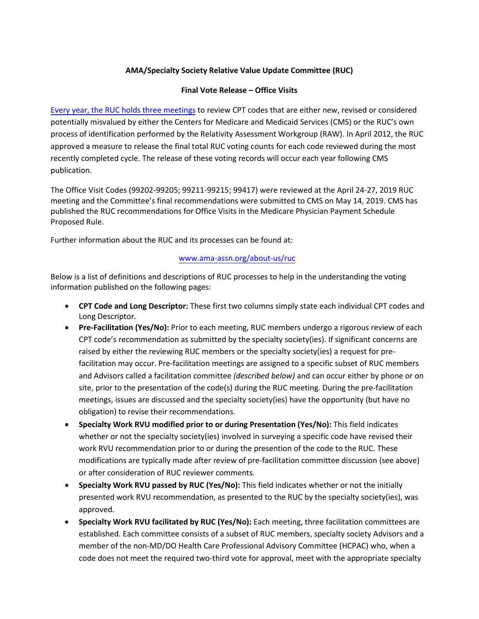### **AMA/Specialty Society Relative Value Update Committee (RUC)**

#### **Final Vote Release – Office Visits**

[Every year, the RUC holds](https://www.ama-assn.org/about-us/ruc) three meetings to review CPT codes that are either new, revised or considered potentially misvalued by either the Centers for Medicare and Medicaid Services (CMS) or the RUC's own process of identification performed by the Relativity Assessment Workgroup (RAW). In April 2012, the RUC approved a measure to release the final total RUC voting counts for each code reviewed during the most recently completed cycle. The release of these voting records will occur each year following CMS publication.

The Office Visit Codes (99202-99205; 99211-99215; 99417) were reviewed at the April 24-27, 2019 RUC meeting and the Committee's final recommendations were submitted to CMS on May 14, 2019. CMS has published the RUC recommendations for Office Visits in the Medicare Physician Payment Schedule Proposed Rule.

Further information about the RUC and its processes can be found at:

### [www.ama-assn.org/about-us/ruc](http://www.ama-assn.org/about-us/ruc)

Below is a list of definitions and descriptions of RUC processes to help in the understanding the voting information published on the following pages:

- **CPT Code and Long Descriptor:** These first two columns simply state each individual CPT codes and Long Descriptor.
- **Pre-Facilitation (Yes/No):** Prior to each meeting, RUC members undergo a rigorous review of each CPT code's recommendation as submitted by the specialty society(ies). If significant concerns are raised by either the reviewing RUC members or the specialty society(ies) a request for prefacilitation may occur. Pre-facilitation meetings are assigned to a specific subset of RUC members and Advisors called a facilitation committee *(described below)* and can occur either by phone or on site, prior to the presentation of the code(s) during the RUC meeting. During the pre-facilitation meetings, issues are discussed and the specialty society(ies) have the opportunity (but have no obligation) to revise their recommendations.
- **Specialty Work RVU modified prior to or during Presentation (Yes/No):** This field indicates whether or not the specialty society(ies) involved in surveying a specific code have revised their work RVU recommendation prior to or during the presention of the code to the RUC. These modifications are typically made after review of pre-facilitation committee discussion (see above) or after consideration of RUC reviewer comments.
- **Specialty Work RVU passed by RUC (Yes/No):** This field indicates whether or not the initially presented work RVU recommendation, as presented to the RUC by the specialty society(ies), was approved.
- **Specialty Work RVU facilitated by RUC (Yes/No):** Each meeting, three facilitation committees are established. Each committee consists of a subset of RUC members, specialty society Advisors and a member of the non-MD/DO Health Care Professional Advisory Committee (HCPAC) who, when a code does not meet the required two-third vote for approval, meet with the appropriate specialty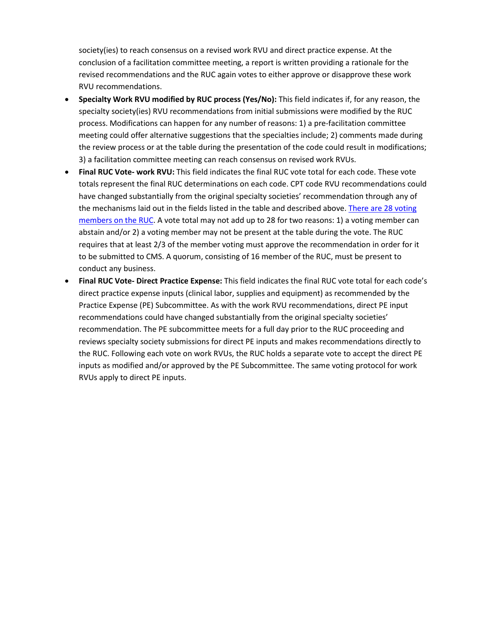society(ies) to reach consensus on a revised work RVU and direct practice expense. At the conclusion of a facilitation committee meeting, a report is written providing a rationale for the revised recommendations and the RUC again votes to either approve or disapprove these work RVU recommendations.

- **Specialty Work RVU modified by RUC process (Yes/No):** This field indicates if, for any reason, the specialty society(ies) RVU recommendations from initial submissions were modified by the RUC process. Modifications can happen for any number of reasons: 1) a pre-facilitation committee meeting could offer alternative suggestions that the specialties include; 2) comments made during the review process or at the table during the presentation of the code could result in modifications; 3) a facilitation committee meeting can reach consensus on revised work RVUs.
- **Final RUC Vote- work RVU:** This field indicates the final RUC vote total for each code. These vote totals represent the final RUC determinations on each code. CPT code RVU recommendations could have changed substantially from the original specialty societies' recommendation through any of the mechanisms laid out in the fields listed in the table and described above[. There are 28 voting](https://www.ama-assn.org/about/rvs-update-committee-ruc/composition-rvs-update-committee-ruc)  [members on the RUC.](https://www.ama-assn.org/about/rvs-update-committee-ruc/composition-rvs-update-committee-ruc) A vote total may not add up to 28 for two reasons: 1) a voting member can abstain and/or 2) a voting member may not be present at the table during the vote. The RUC requires that at least 2/3 of the member voting must approve the recommendation in order for it to be submitted to CMS. A quorum, consisting of 16 member of the RUC, must be present to conduct any business.
- **Final RUC Vote- Direct Practice Expense:** This field indicates the final RUC vote total for each code's direct practice expense inputs (clinical labor, supplies and equipment) as recommended by the Practice Expense (PE) Subcommittee. As with the work RVU recommendations, direct PE input recommendations could have changed substantially from the original specialty societies' recommendation. The PE subcommittee meets for a full day prior to the RUC proceeding and reviews specialty society submissions for direct PE inputs and makes recommendations directly to the RUC. Following each vote on work RVUs, the RUC holds a separate vote to accept the direct PE inputs as modified and/or approved by the PE Subcommittee. The same voting protocol for work RVUs apply to direct PE inputs.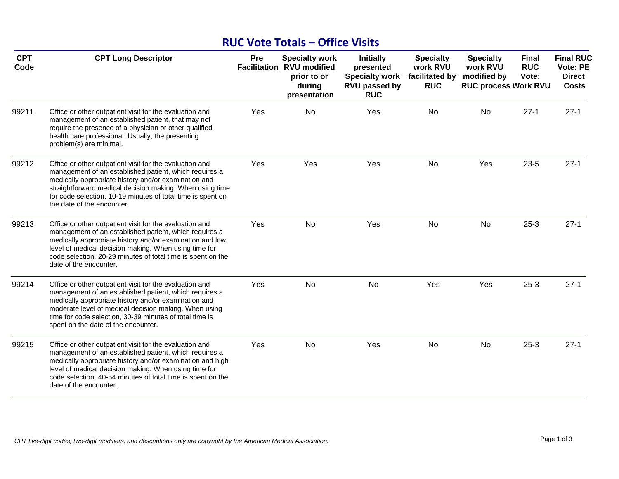# **RUC Vote Totals – Office Visits**

| <b>CPT</b><br>Code | <b>CPT Long Descriptor</b>                                                                                                                                                                                                                                                                                                           | Pre | <b>Specialty work</b><br><b>Facilitation RVU modified</b><br>prior to or<br>during<br>presentation | <b>Initially</b><br>presented<br><b>Specialty work</b><br><b>RVU passed by</b><br><b>RUC</b> | <b>Specialty</b><br>work RVU<br>facilitated by<br><b>RUC</b> | <b>Specialty</b><br>work RVU<br>modified by<br><b>RUC process Work RVU</b> | <b>Final</b><br><b>RUC</b><br>Vote: | <b>Final RUC</b><br><b>Vote: PE</b><br><b>Direct</b><br><b>Costs</b> |
|--------------------|--------------------------------------------------------------------------------------------------------------------------------------------------------------------------------------------------------------------------------------------------------------------------------------------------------------------------------------|-----|----------------------------------------------------------------------------------------------------|----------------------------------------------------------------------------------------------|--------------------------------------------------------------|----------------------------------------------------------------------------|-------------------------------------|----------------------------------------------------------------------|
| 99211              | Office or other outpatient visit for the evaluation and<br>management of an established patient, that may not<br>require the presence of a physician or other qualified<br>health care professional. Usually, the presenting<br>problem(s) are minimal.                                                                              | Yes | No                                                                                                 | Yes                                                                                          | No                                                           | No                                                                         | $27-1$                              | $27-1$                                                               |
| 99212              | Office or other outpatient visit for the evaluation and<br>management of an established patient, which requires a<br>medically appropriate history and/or examination and<br>straightforward medical decision making. When using time<br>for code selection, 10-19 minutes of total time is spent on<br>the date of the encounter.   | Yes | Yes                                                                                                | Yes                                                                                          | <b>No</b>                                                    | Yes                                                                        | $23 - 5$                            | $27-1$                                                               |
| 99213              | Office or other outpatient visit for the evaluation and<br>management of an established patient, which requires a<br>medically appropriate history and/or examination and low<br>level of medical decision making. When using time for<br>code selection, 20-29 minutes of total time is spent on the<br>date of the encounter.      | Yes | No                                                                                                 | Yes                                                                                          | No                                                           | No                                                                         | $25-3$                              | $27-1$                                                               |
| 99214              | Office or other outpatient visit for the evaluation and<br>management of an established patient, which requires a<br>medically appropriate history and/or examination and<br>moderate level of medical decision making. When using<br>time for code selection, 30-39 minutes of total time is<br>spent on the date of the encounter. | Yes | No                                                                                                 | No                                                                                           | Yes                                                          | Yes                                                                        | $25-3$                              | $27-1$                                                               |
| 99215              | Office or other outpatient visit for the evaluation and<br>management of an established patient, which requires a<br>medically appropriate history and/or examination and high<br>level of medical decision making. When using time for<br>code selection, 40-54 minutes of total time is spent on the<br>date of the encounter.     | Yes | No                                                                                                 | Yes                                                                                          | No                                                           | No                                                                         | $25-3$                              | $27-1$                                                               |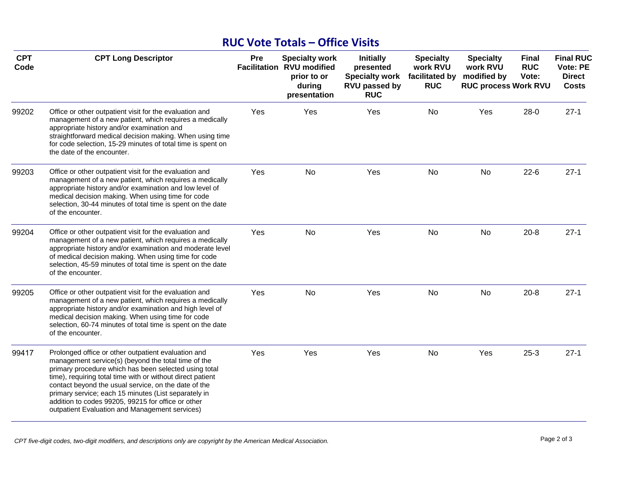## **RUC Vote Totals – Office Visits**

| <b>CPT</b><br>Code | <b>CPT Long Descriptor</b>                                                                                                                                                                                                                                                                                                                                                                                                                                | Pre | <b>Specialty work</b><br><b>Facilitation RVU modified</b><br>prior to or<br>during<br>presentation | <b>Initially</b><br>presented<br><b>Specialty work</b><br>RVU passed by<br><b>RUC</b> | <b>Specialty</b><br>work RVU<br>facilitated by<br><b>RUC</b> | <b>Specialty</b><br>work RVU<br>modified by<br><b>RUC process Work RVU</b> | <b>Final</b><br><b>RUC</b><br>Vote: | <b>Final RUC</b><br><b>Vote: PE</b><br><b>Direct</b><br><b>Costs</b> |
|--------------------|-----------------------------------------------------------------------------------------------------------------------------------------------------------------------------------------------------------------------------------------------------------------------------------------------------------------------------------------------------------------------------------------------------------------------------------------------------------|-----|----------------------------------------------------------------------------------------------------|---------------------------------------------------------------------------------------|--------------------------------------------------------------|----------------------------------------------------------------------------|-------------------------------------|----------------------------------------------------------------------|
| 99202              | Office or other outpatient visit for the evaluation and<br>management of a new patient, which requires a medically<br>appropriate history and/or examination and<br>straightforward medical decision making. When using time<br>for code selection, 15-29 minutes of total time is spent on<br>the date of the encounter.                                                                                                                                 | Yes | Yes                                                                                                | Yes                                                                                   | No                                                           | Yes                                                                        | $28-0$                              | $27-1$                                                               |
| 99203              | Office or other outpatient visit for the evaluation and<br>management of a new patient, which requires a medically<br>appropriate history and/or examination and low level of<br>medical decision making. When using time for code<br>selection, 30-44 minutes of total time is spent on the date<br>of the encounter.                                                                                                                                    | Yes | No                                                                                                 | Yes                                                                                   | <b>No</b>                                                    | No                                                                         | $22-6$                              | $27 - 1$                                                             |
| 99204              | Office or other outpatient visit for the evaluation and<br>management of a new patient, which requires a medically<br>appropriate history and/or examination and moderate level<br>of medical decision making. When using time for code<br>selection, 45-59 minutes of total time is spent on the date<br>of the encounter.                                                                                                                               | Yes | No                                                                                                 | Yes                                                                                   | <b>No</b>                                                    | <b>No</b>                                                                  | $20 - 8$                            | $27-1$                                                               |
| 99205              | Office or other outpatient visit for the evaluation and<br>management of a new patient, which requires a medically<br>appropriate history and/or examination and high level of<br>medical decision making. When using time for code<br>selection, 60-74 minutes of total time is spent on the date<br>of the encounter.                                                                                                                                   | Yes | No                                                                                                 | Yes                                                                                   | No                                                           | <b>No</b>                                                                  | $20 - 8$                            | $27-1$                                                               |
| 99417              | Prolonged office or other outpatient evaluation and<br>management service(s) (beyond the total time of the<br>primary procedure which has been selected using total<br>time), requiring total time with or without direct patient<br>contact beyond the usual service, on the date of the<br>primary service; each 15 minutes (List separately in<br>addition to codes 99205, 99215 for office or other<br>outpatient Evaluation and Management services) | Yes | Yes                                                                                                | Yes                                                                                   | No                                                           | Yes                                                                        | $25-3$                              | $27-1$                                                               |